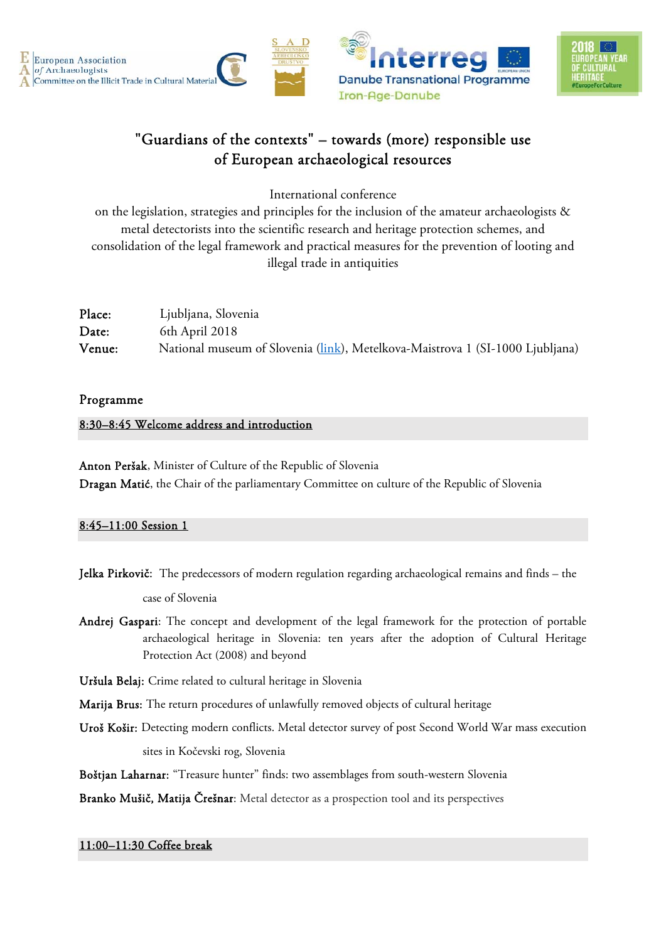



# "Guardians of the contexts" – towards (more) responsible use of European archaeological resources

International conference

on the legislation, strategies and principles for the inclusion of the amateur archaeologists & metal detectorists into the scientific research and heritage protection schemes, and consolidation of the legal framework and practical measures for the prevention of looting and illegal trade in antiquities

| Place: | Ljubljana, Slovenia                                                           |
|--------|-------------------------------------------------------------------------------|
| Date:  | 6th April 2018                                                                |
| Venue: | National museum of Slovenia (link), Metelkova-Maistrova 1 (SI-1000 Ljubljana) |

## Programme

## 8:30–8:45 Welcome address and introduction

Anton Peršak, Minister of Culture of the Republic of Slovenia Dragan Matić, the Chair of the parliamentary Committee on culture of the Republic of Slovenia

## 8:45–11:00 Session 1

- Jelka Pirkovič: The predecessors of modern regulation regarding archaeological remains and finds the case of Slovenia
- Andrej Gaspari: The concept and development of the legal framework for the protection of portable archaeological heritage in Slovenia: ten years after the adoption of Cultural Heritage Protection Act (2008) and beyond
- Uršula Belaj: Crime related to cultural heritage in Slovenia
- Marija Brus: The return procedures of unlawfully removed objects of cultural heritage
- Uroš Košir: Detecting modern conflicts. Metal detector survey of post Second World War mass execution sites in Kočevski rog, Slovenia

Boštjan Laharnar: "Treasure hunter" finds: two assemblages from south-western Slovenia

Branko Mušič, Matija Črešnar: Metal detector as a prospection tool and its perspectives

## 11:00–11:30 Coffee break